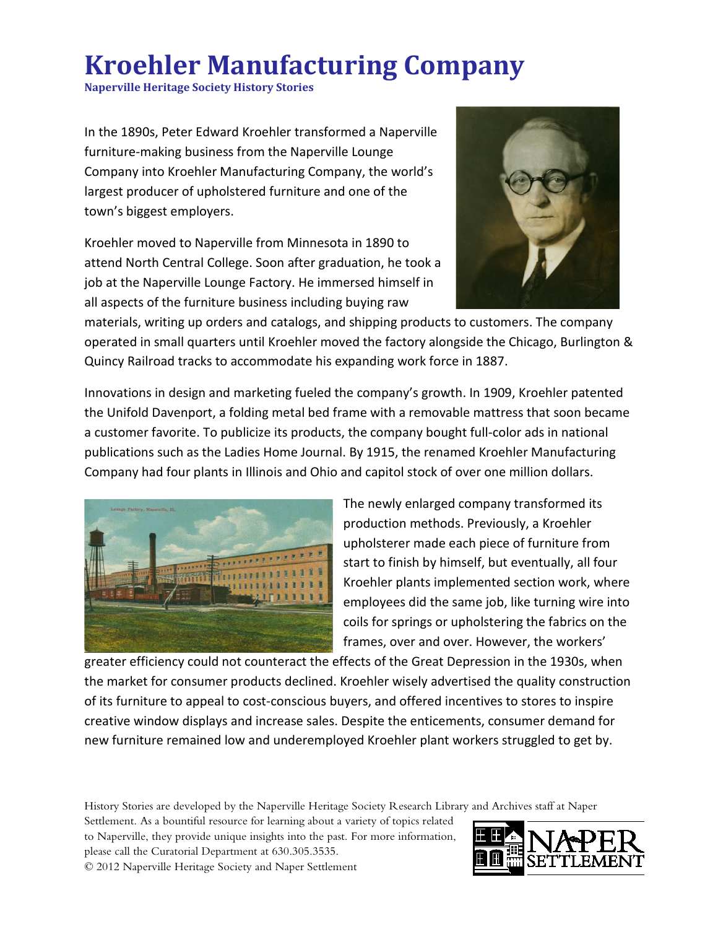## **Kroehler Manufacturing Company**

**Naperville Heritage Society History Stories**

In the 1890s, Peter Edward Kroehler transformed a Naperville furniture-making business from the Naperville Lounge Company into Kroehler Manufacturing Company, the world's largest producer of upholstered furniture and one of the town's biggest employers.

Kroehler moved to Naperville from Minnesota in 1890 to attend North Central College. Soon after graduation, he took a job at the Naperville Lounge Factory. He immersed himself in all aspects of the furniture business including buying raw



materials, writing up orders and catalogs, and shipping products to customers. The company operated in small quarters until Kroehler moved the factory alongside the Chicago, Burlington & Quincy Railroad tracks to accommodate his expanding work force in 1887.

Innovations in design and marketing fueled the company's growth. In 1909, Kroehler patented the Unifold Davenport, a folding metal bed frame with a removable mattress that soon became a customer favorite. To publicize its products, the company bought full-color ads in national publications such as the Ladies Home Journal. By 1915, the renamed Kroehler Manufacturing Company had four plants in Illinois and Ohio and capitol stock of over one million dollars.



The newly enlarged company transformed its production methods. Previously, a Kroehler upholsterer made each piece of furniture from start to finish by himself, but eventually, all four Kroehler plants implemented section work, where employees did the same job, like turning wire into coils for springs or upholstering the fabrics on the frames, over and over. However, the workers'

greater efficiency could not counteract the effects of the Great Depression in the 1930s, when the market for consumer products declined. Kroehler wisely advertised the quality construction of its furniture to appeal to cost-conscious buyers, and offered incentives to stores to inspire creative window displays and increase sales. Despite the enticements, consumer demand for new furniture remained low and underemployed Kroehler plant workers struggled to get by.

History Stories are developed by the Naperville Heritage Society Research Library and Archives staff at Naper

Settlement. As a bountiful resource for learning about a variety of topics related to Naperville, they provide unique insights into the past. For more information, please call the Curatorial Department at 630.305.3535. © 2012 Naperville Heritage Society and Naper Settlement